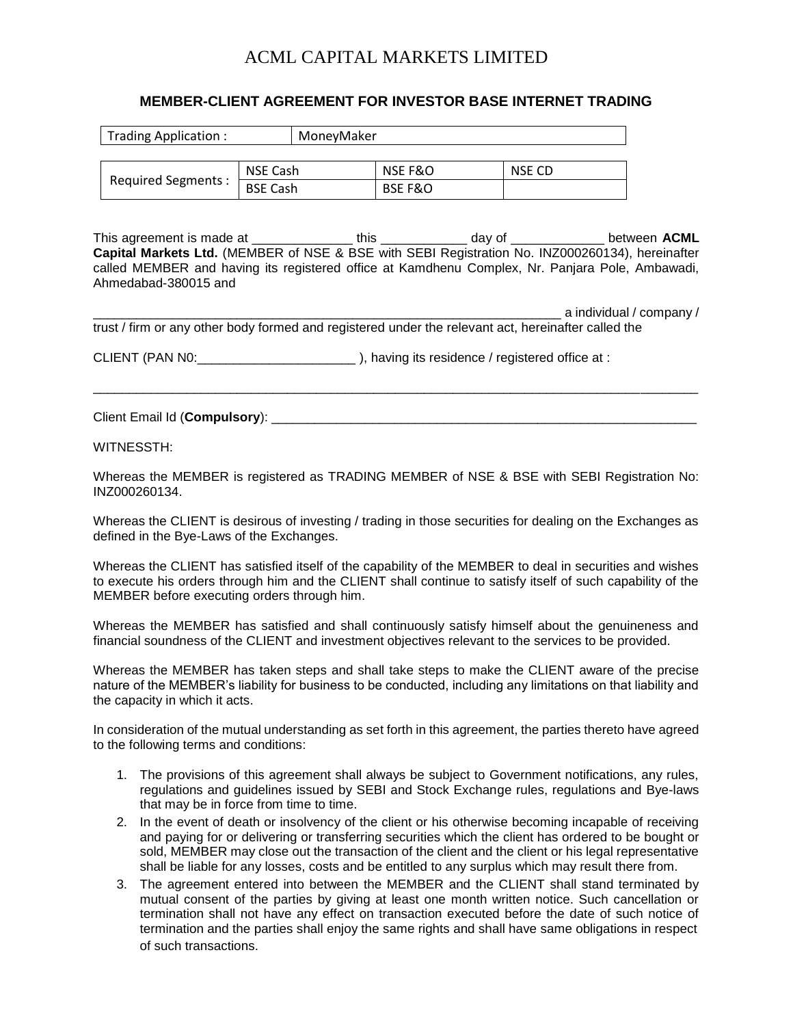## ACML CAPITAL MARKETS LIMITED

## **MEMBER-CLIENT AGREEMENT FOR INVESTOR BASE INTERNET TRADING**

| Trading Application: |                 | MonevMaker |         |        |
|----------------------|-----------------|------------|---------|--------|
|                      |                 |            |         |        |
| Required Segments :  | NSE Cash        |            | NSE F&O | NSE CD |
|                      | <b>BSE Cash</b> |            | BSE F&O |        |

This agreement is made at \_\_\_\_\_\_\_\_\_\_\_\_\_\_ this \_\_\_\_\_\_\_\_\_\_\_\_ day of \_\_\_\_\_\_\_\_\_\_\_\_\_ between **ACML Capital Markets Ltd.** (MEMBER of NSE & BSE with SEBI Registration No. INZ000260134), hereinafter called MEMBER and having its registered office at Kamdhenu Complex, Nr. Panjara Pole, Ambawadi, Ahmedabad-380015 and

\_\_\_\_\_\_\_\_\_\_\_\_\_\_\_\_\_\_\_\_\_\_\_\_\_\_\_\_\_\_\_\_\_\_\_\_\_\_\_\_\_\_\_\_\_\_\_\_\_\_\_\_\_\_\_\_\_\_\_\_\_\_\_\_\_ a individual / company /

| trust / firm or any other body formed and registered under the relevant act, hereinafter called the |
|-----------------------------------------------------------------------------------------------------|
|                                                                                                     |
|                                                                                                     |
|                                                                                                     |
|                                                                                                     |

\_\_\_\_\_\_\_\_\_\_\_\_\_\_\_\_\_\_\_\_\_\_\_\_\_\_\_\_\_\_\_\_\_\_\_\_\_\_\_\_\_\_\_\_\_\_\_\_\_\_\_\_\_\_\_\_\_\_\_\_\_\_\_\_\_\_\_\_\_\_\_\_\_\_\_\_\_\_\_\_\_\_\_\_

CLIENT (PAN N0:\_\_\_\_\_\_\_\_\_\_\_\_\_\_\_\_\_\_\_\_\_\_ ), having its residence / registered office at :

Client Email Id (Compulsory): **with a set of the set of the set of the set of the set of the set of the set of the set of the set of the set of the set of the set of the set of the set of the set of the set of the set of t** 

WITNESSTH:

Whereas the MEMBER is registered as TRADING MEMBER of NSE & BSE with SEBI Registration No: INZ000260134.

Whereas the CLIENT is desirous of investing / trading in those securities for dealing on the Exchanges as defined in the Bye-Laws of the Exchanges.

Whereas the CLIENT has satisfied itself of the capability of the MEMBER to deal in securities and wishes to execute his orders through him and the CLIENT shall continue to satisfy itself of such capability of the MEMBER before executing orders through him.

Whereas the MEMBER has satisfied and shall continuously satisfy himself about the genuineness and financial soundness of the CLIENT and investment objectives relevant to the services to be provided.

Whereas the MEMBER has taken steps and shall take steps to make the CLIENT aware of the precise nature of the MEMBER's liability for business to be conducted, including any limitations on that liability and the capacity in which it acts.

In consideration of the mutual understanding as set forth in this agreement, the parties thereto have agreed to the following terms and conditions:

- 1. The provisions of this agreement shall always be subject to Government notifications, any rules, regulations and guidelines issued by SEBI and Stock Exchange rules, regulations and Bye-laws that may be in force from time to time.
- 2. In the event of death or insolvency of the client or his otherwise becoming incapable of receiving and paying for or delivering or transferring securities which the client has ordered to be bought or sold, MEMBER may close out the transaction of the client and the client or his legal representative shall be liable for any losses, costs and be entitled to any surplus which may result there from.
- 3. The agreement entered into between the MEMBER and the CLIENT shall stand terminated by mutual consent of the parties by giving at least one month written notice. Such cancellation or termination shall not have any effect on transaction executed before the date of such notice of termination and the parties shall enjoy the same rights and shall have same obligations in respect of such transactions.